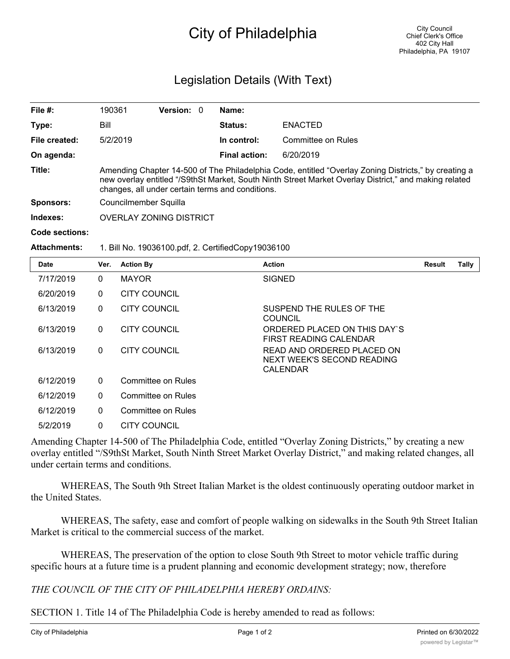# City of Philadelphia

## Legislation Details (With Text)

| File $#$ :       | 190361                                                                                                                                                                                                                                                            | <b>Version: 0</b> |             | Name:                |                |  |  |
|------------------|-------------------------------------------------------------------------------------------------------------------------------------------------------------------------------------------------------------------------------------------------------------------|-------------------|-------------|----------------------|----------------|--|--|
| Type:            | Bill                                                                                                                                                                                                                                                              |                   |             | <b>Status:</b>       | <b>ENACTED</b> |  |  |
| File created:    | 5/2/2019                                                                                                                                                                                                                                                          |                   | In control: | Committee on Rules   |                |  |  |
| On agenda:       |                                                                                                                                                                                                                                                                   |                   |             | <b>Final action:</b> | 6/20/2019      |  |  |
| Title:           | Amending Chapter 14-500 of The Philadelphia Code, entitled "Overlay Zoning Districts," by creating a<br>new overlay entitled "/S9thSt Market, South Ninth Street Market Overlay District," and making related<br>changes, all under certain terms and conditions. |                   |             |                      |                |  |  |
| <b>Sponsors:</b> | Councilmember Squilla                                                                                                                                                                                                                                             |                   |             |                      |                |  |  |
| Indexes:         | <b>OVERLAY ZONING DISTRICT</b>                                                                                                                                                                                                                                    |                   |             |                      |                |  |  |
| Code sections:   |                                                                                                                                                                                                                                                                   |                   |             |                      |                |  |  |

#### **Attachments:** 1. Bill No. 19036100.pdf, 2. CertifiedCopy19036100

| <b>Date</b> | Ver.         | <b>Action By</b>    | <b>Action</b>                                                        | Result | Tally |
|-------------|--------------|---------------------|----------------------------------------------------------------------|--------|-------|
| 7/17/2019   | 0            | <b>MAYOR</b>        | <b>SIGNED</b>                                                        |        |       |
| 6/20/2019   | $\Omega$     | <b>CITY COUNCIL</b> |                                                                      |        |       |
| 6/13/2019   | $\mathbf{0}$ | CITY COUNCIL        | SUSPEND THE RULES OF THE<br>COUNCIL                                  |        |       |
| 6/13/2019   | $\Omega$     | <b>CITY COUNCIL</b> | ORDERED PLACED ON THIS DAY'S<br>FIRST READING CALENDAR               |        |       |
| 6/13/2019   | $\mathbf{0}$ | <b>CITY COUNCIL</b> | READ AND ORDERED PLACED ON<br>NEXT WEEK'S SECOND READING<br>CALENDAR |        |       |
| 6/12/2019   | $\Omega$     | Committee on Rules  |                                                                      |        |       |
| 6/12/2019   | $\Omega$     | Committee on Rules  |                                                                      |        |       |
| 6/12/2019   | $\mathbf{0}$ | Committee on Rules  |                                                                      |        |       |
| 5/2/2019    | $\mathbf{0}$ | CITY COUNCIL        |                                                                      |        |       |

Amending Chapter 14-500 of The Philadelphia Code, entitled "Overlay Zoning Districts," by creating a new overlay entitled "/S9thSt Market, South Ninth Street Market Overlay District," and making related changes, all under certain terms and conditions.

WHEREAS, The South 9th Street Italian Market is the oldest continuously operating outdoor market in the United States.

WHEREAS, The safety, ease and comfort of people walking on sidewalks in the South 9th Street Italian Market is critical to the commercial success of the market.

WHEREAS, The preservation of the option to close South 9th Street to motor vehicle traffic during specific hours at a future time is a prudent planning and economic development strategy; now, therefore

*THE COUNCIL OF THE CITY OF PHILADELPHIA HEREBY ORDAINS:*

SECTION 1. Title 14 of The Philadelphia Code is hereby amended to read as follows: